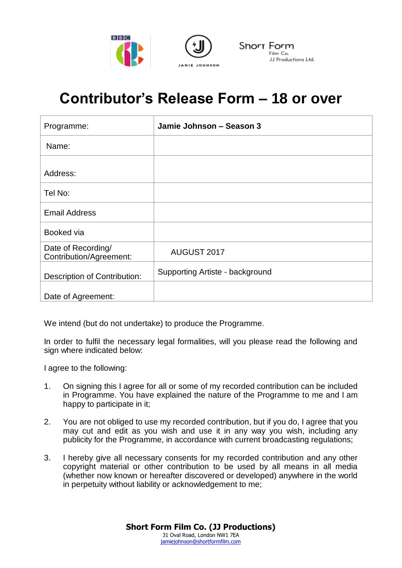



## **Contributor's Release Form – 18 or over**

| Programme:                                           | Jamie Johnson - Season 3        |
|------------------------------------------------------|---------------------------------|
| Name:                                                |                                 |
| Address:                                             |                                 |
| Tel No:                                              |                                 |
| <b>Email Address</b>                                 |                                 |
| Booked via                                           |                                 |
| Date of Recording/<br><b>Contribution/Agreement:</b> | AUGUST 2017                     |
| Description of Contribution:                         | Supporting Artiste - background |
| Date of Agreement:                                   |                                 |

We intend (but do not undertake) to produce the Programme.

In order to fulfil the necessary legal formalities, will you please read the following and sign where indicated below:

I agree to the following:

- 1. On signing this I agree for all or some of my recorded contribution can be included in Programme. You have explained the nature of the Programme to me and I am happy to participate in it;
- 2. You are not obliged to use my recorded contribution, but if you do, I agree that you may cut and edit as you wish and use it in any way you wish, including any publicity for the Programme, in accordance with current broadcasting regulations;
- 3. I hereby give all necessary consents for my recorded contribution and any other copyright material or other contribution to be used by all means in all media (whether now known or hereafter discovered or developed) anywhere in the world in perpetuity without liability or acknowledgement to me;